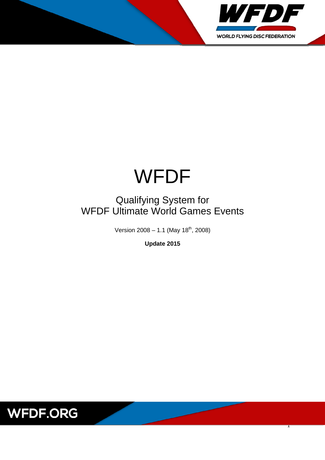

# WFDF

## Qualifying System for WFDF Ultimate World Games Events

Version  $2008 - 1.1$  (May  $18<sup>th</sup>$ , 2008)

**Update 2015**

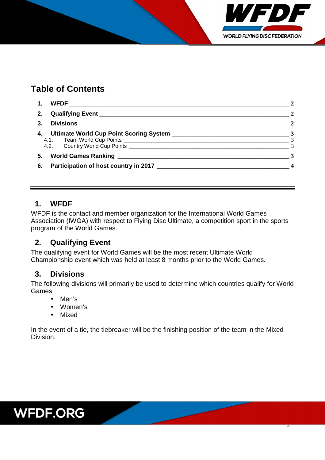

## **Table of Contents**

| 1. |                                       | $\overline{2}$           |
|----|---------------------------------------|--------------------------|
| 2. |                                       |                          |
| 3. |                                       | $\overline{\phantom{a}}$ |
|    |                                       |                          |
|    |                                       |                          |
|    |                                       | $\overline{3}$           |
| 5. |                                       |                          |
| 6. | Participation of host country in 2017 |                          |

#### **1. WFDF**

WFDF is the contact and member organization for the International World Games Association (IWGA) with respect to Flying Disc Ultimate, a competition sport in the sports program of the World Games.

#### **2. Qualifying Event**

The qualifying event for World Games will be the most recent Ultimate World Championship event which was held at least 8 months prior to the World Games.

#### **3. Divisions**

The following divisions will primarily be used to determine which countries qualify for World Games:

- Men's
- Women's
- Mixed

In the event of a tie, the tiebreaker will be the finishing position of the team in the Mixed Division.

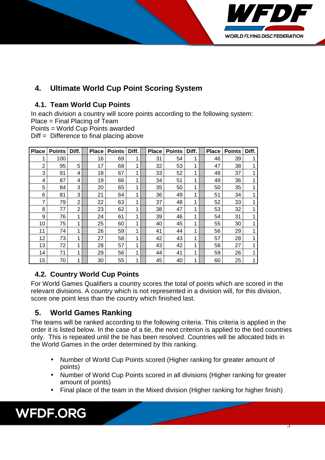

## **4. Ultimate World Cup Point Scoring System**

#### **4.1. Team World Cup Points**

In each division a country will score points according to the following system:

Place = Final Placing of Team

Points = World Cup Points awarded

Diff = Difference to final placing above

| <b>Place</b>   | <b>Points</b> | Diff. | <b>Place</b> | <b>Points</b> | Diff. | <b>Place</b> | <b>Points</b> | Diff. | <b>Place</b> | <b>Points</b> | Diff. |
|----------------|---------------|-------|--------------|---------------|-------|--------------|---------------|-------|--------------|---------------|-------|
|                | 100           |       | 16           | 69            | 1     | 31           | 54            | 1     | 46           | 39            |       |
| $\overline{2}$ | 95            | 5     | 17           | 68            | 1     | 32           | 53            | 1     | 47           | 38            |       |
| 3              | 91            | 4     | 18           | 67            | 1     | 33           | 52            | 1     | 48           | 37            |       |
| 4              | 87            | 4     | 19           | 66            | 1     | 34           | 51            | 1     | 49           | 36            |       |
| 5              | 84            | 3     | 20           | 65            | 1     | 35           | 50            | 1     | 50           | 35            |       |
| 6              | 81            | 3     | 21           | 64            | 1     | 36           | 49            | 1     | 51           | 34            |       |
| 7              | 79            | 2     | 22           | 63            | 1     | 37           | 48            | 1     | 52           | 33            |       |
| 8              | 77            | 2     | 23           | 62            | 1     | 38           | 47            | 1     | 53           | 32            |       |
| 9              | 76            | 1     | 24           | 61            | 1     | 39           | 46            | 1     | 54           | 31            |       |
| 10             | 75            | 1     | 25           | 60            | 1     | 40           | 45            | 1     | 55           | 30            |       |
| 11             | 74            | 1     | 26           | 59            | 1     | 41           | 44            | 1     | 56           | 29            |       |
| 12             | 73            | 1     | 27           | 58            | 1     | 42           | 43            | 1     | 57           | 28            |       |
| 13             | 72            | 1     | 28           | 57            | 1     | 43           | 42            | 1     | 58           | 27            |       |
| 14             | 71            | 1     | 29           | 56            | 1     | 44           | 41            | 1     | 59           | 26            |       |
| 15             | 70            | 1     | 30           | 55            | 1     | 45           | 40            | 1     | 60           | 25            |       |

#### **4.2. Country World Cup Points**

For World Games Qualifiers a country scores the total of points which are scored in the relevant divisions. A country which is not represented in a division will, for this division, score one point less than the country which finished last.

### **5. World Games Ranking**

The teams will be ranked according to the following criteria. This criteria is applied in the order it is listed below. In the case of a tie, the next criterion is applied to the tied countries only. This is repeated until the tie has been resolved. Countries will be allocated bids in the World Games in the order determined by this ranking.

- Number of World Cup Points scored (Higher ranking for greater amount of points)
- Number of World Cup Points scored in all divisions (Higher ranking for greater amount of points)
- Final place of the team in the Mixed division (Higher ranking for higher finish)